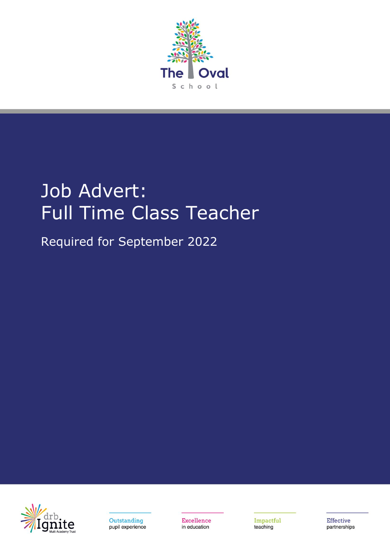

# Job Advert: Full Time Class Teacher

Required for September 2022





Excellence in education

Impactful teaching

Effective partnerships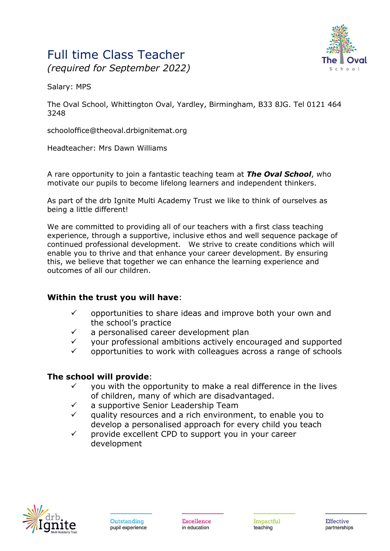## Full time Class Teacher *(required for September 2022)*



Salary: MPS

The Oval School, Whittington Oval, Yardley, Birmingham, B33 8JG. Tel 0121 464 3248

schooloffice@theoval.drbignitemat.org

Headteacher: Mrs Dawn Williams

A rare opportunity to join a fantastic teaching team at *The Oval School*, who motivate our pupils to become lifelong learners and independent thinkers.

As part of the drb Ignite Multi Academy Trust we like to think of ourselves as being a little different!

We are committed to providing all of our teachers with a first class teaching experience, through a supportive, inclusive ethos and well sequence package of continued professional development. We strive to create conditions which will enable you to thrive and that enhance your career development. By ensuring this, we believe that together we can enhance the learning experience and outcomes of all our children.

### **Within the trust you will have**:

- $\checkmark$  opportunities to share ideas and improve both your own and the school's practice
- $\checkmark$  a personalised career development plan
- $\checkmark$  your professional ambitions actively encouraged and supported
- ✓ opportunities to work with colleagues across a range of schools

### **The school will provide**:

- you with the opportunity to make a real difference in the lives of children, many of which are disadvantaged.
- $\checkmark$  a supportive Senior Leadership Team
- $\checkmark$  quality resources and a rich environment, to enable you to develop a personalised approach for every child you teach
- $\checkmark$  provide excellent CPD to support you in your career development